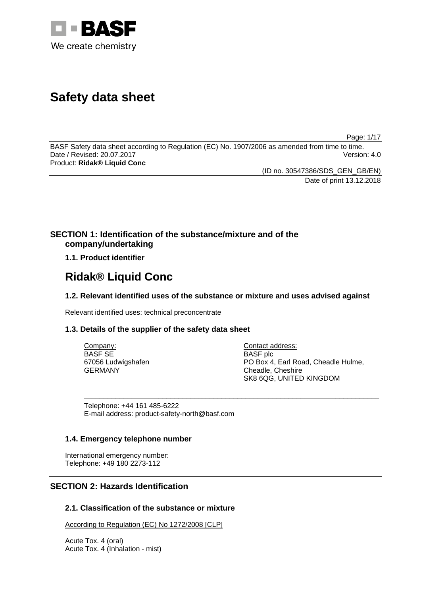

# **Safety data sheet**

Page: 1/17

BASF Safety data sheet according to Regulation (EC) No. 1907/2006 as amended from time to time. Date / Revised: 20.07.2017 Version: 4.0 Product: **Ridak® Liquid Conc**

> (ID no. 30547386/SDS\_GEN\_GB/EN) Date of print 13.12.2018

# **SECTION 1: Identification of the substance/mixture and of the company/undertaking**

# **1.1. Product identifier**

# **Ridak® Liquid Conc**

# **1.2. Relevant identified uses of the substance or mixture and uses advised against**

Relevant identified uses: technical preconcentrate

# **1.3. Details of the supplier of the safety data sheet**

| Company:           | Contact address:                    |
|--------------------|-------------------------------------|
| BASF SE            | BASF plc                            |
| 67056 Ludwigshafen | PO Box 4, Earl Road, Cheadle Hulme, |
| GERMANY            | Cheadle, Cheshire                   |
|                    | SK8 6QG, UNITED KINGDOM             |

\_\_\_\_\_\_\_\_\_\_\_\_\_\_\_\_\_\_\_\_\_\_\_\_\_\_\_\_\_\_\_\_\_\_\_\_\_\_\_\_\_\_\_\_\_\_\_\_\_\_\_\_\_\_\_\_\_\_\_\_\_\_\_\_\_\_\_\_\_\_\_\_\_\_\_

Telephone: +44 161 485-6222 E-mail address: product-safety-north@basf.com

## **1.4. Emergency telephone number**

International emergency number: Telephone: +49 180 2273-112

# **SECTION 2: Hazards Identification**

# **2.1. Classification of the substance or mixture**

According to Regulation (EC) No 1272/2008 [CLP]

Acute Tox. 4 (oral) Acute Tox. 4 (Inhalation - mist)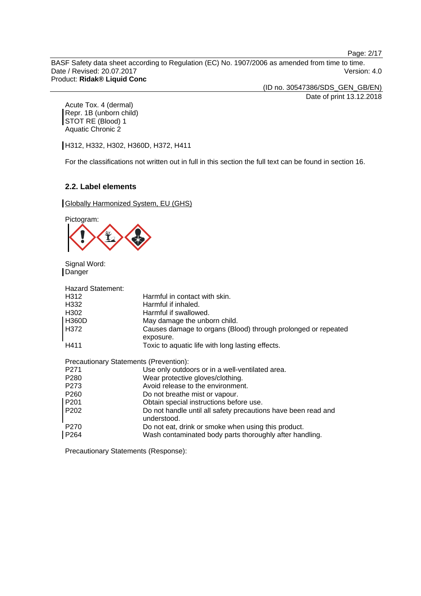Page: 2/17

BASF Safety data sheet according to Regulation (EC) No. 1907/2006 as amended from time to time. Date / Revised: 20.07.2017 Version: 4.0 Product: **Ridak® Liquid Conc**

(ID no. 30547386/SDS\_GEN\_GB/EN) Date of print 13.12.2018

Acute Tox. 4 (dermal) Repr. 1B (unborn child) STOT RE (Blood) 1 Aquatic Chronic 2

H312, H332, H302, H360D, H372, H411

For the classifications not written out in full in this section the full text can be found in section 16.

## **2.2. Label elements**

**Globally Harmonized System, EU (GHS)** 



Signal Word: **Danger** 

| <b>Hazard Statement:</b>               |                                                                              |
|----------------------------------------|------------------------------------------------------------------------------|
| H <sub>3</sub> 12                      | Harmful in contact with skin.                                                |
| H <sub>332</sub>                       | Harmful if inhaled.                                                          |
| H <sub>302</sub>                       | Harmful if swallowed.                                                        |
| H360D                                  | May damage the unborn child.                                                 |
| H372                                   | Causes damage to organs (Blood) through prolonged or repeated<br>exposure.   |
| H411                                   | Toxic to aquatic life with long lasting effects.                             |
| Precautionary Statements (Prevention): |                                                                              |
| P <sub>271</sub>                       | Use only outdoors or in a well-ventilated area.                              |
| P <sub>280</sub>                       | Wear protective gloves/clothing.                                             |
| P <sub>273</sub>                       | Avoid release to the environment.                                            |
| P <sub>260</sub>                       | Do not breathe mist or vapour.                                               |
| P <sub>201</sub>                       | Obtain special instructions before use.                                      |
| P <sub>202</sub>                       | Do not handle until all safety precautions have been read and<br>understood. |
| P <sub>270</sub>                       | Do not eat, drink or smoke when using this product.                          |
| P <sub>264</sub>                       | Wash contaminated body parts thoroughly after handling.                      |

Precautionary Statements (Response):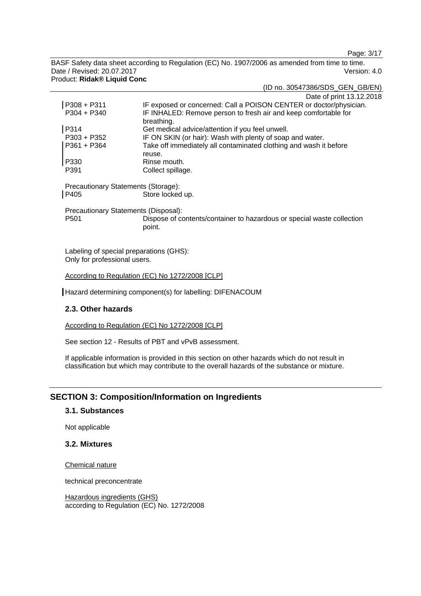Page: 3/17

BASF Safety data sheet according to Regulation (EC) No. 1907/2006 as amended from time to time. Date / Revised: 20.07.2017 Version: 4.0 Product: **Ridak® Liquid Conc**

|                                      | Date of print 13.12.2018                                                         |
|--------------------------------------|----------------------------------------------------------------------------------|
| $P308 + P311$                        | IF exposed or concerned: Call a POISON CENTER or doctor/physician.               |
| $P304 + P340$                        | IF INHALED: Remove person to fresh air and keep comfortable for                  |
|                                      | breathing.                                                                       |
| P314                                 | Get medical advice/attention if you feel unwell.                                 |
| $P303 + P352$                        | IF ON SKIN (or hair): Wash with plenty of soap and water.                        |
| P361 + P364                          | Take off immediately all contaminated clothing and wash it before<br>reuse.      |
| P330                                 | Rinse mouth.                                                                     |
| P391                                 | Collect spillage.                                                                |
| Precautionary Statements (Storage):  |                                                                                  |
| P405                                 | Store locked up.                                                                 |
| Precautionary Statements (Disposal): |                                                                                  |
| P <sub>501</sub>                     | Dispose of contents/container to hazardous or special waste collection<br>point. |
|                                      |                                                                                  |

Labeling of special preparations (GHS): Only for professional users.

According to Regulation (EC) No 1272/2008 [CLP]

Hazard determining component(s) for labelling: DIFENACOUM

## **2.3. Other hazards**

According to Regulation (EC) No 1272/2008 [CLP]

See section 12 - Results of PBT and vPvB assessment.

If applicable information is provided in this section on other hazards which do not result in classification but which may contribute to the overall hazards of the substance or mixture.

# **SECTION 3: Composition/Information on Ingredients**

## **3.1. Substances**

Not applicable

# **3.2. Mixtures**

Chemical nature

technical preconcentrate

Hazardous ingredients (GHS) according to Regulation (EC) No. 1272/2008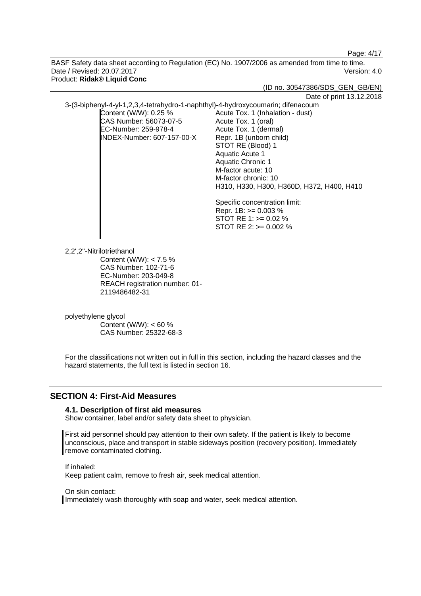Page: 4/17

BASF Safety data sheet according to Regulation (EC) No. 1907/2006 as amended from time to time. Date / Revised: 20.07.2017 Version: 4.0 Product: **Ridak® Liquid Conc**

> Aquatic Chronic 1 M-factor acute: 10 M-factor chronic: 10

Specific concentration limit: Repr. 1B: >= 0.003 % STOT RE 1: >= 0.02 % STOT RE 2: >= 0.002 %

H310, H330, H300, H360D, H372, H400, H410

(ID no. 30547386/SDS\_GEN\_GB/EN)

Date of print 13.12.2018

3-(3-biphenyl-4-yl-1,2,3,4-tetrahydro-1-naphthyl)-4-hydroxycoumarin; difenacoum

Content (W/W): 0.25 % CAS Number: 56073-07-5 EC-Number: 259-978-4 INDEX-Number: 607-157-00-X Acute Tox. 1 (Inhalation - dust) Acute Tox. 1 (oral) Acute Tox. 1 (dermal) Repr. 1B (unborn child) STOT RE (Blood) 1 Aquatic Acute 1

2,2',2''-Nitrilotriethanol

Content (W/W): < 7.5 % CAS Number: 102-71-6 EC-Number: 203-049-8 REACH registration number: 01- 2119486482-31

polyethylene glycol Content (W/W): < 60 % CAS Number: 25322-68-3

For the classifications not written out in full in this section, including the hazard classes and the hazard statements, the full text is listed in section 16.

# **SECTION 4: First-Aid Measures**

## **4.1. Description of first aid measures**

Show container, label and/or safety data sheet to physician.

First aid personnel should pay attention to their own safety. If the patient is likely to become unconscious, place and transport in stable sideways position (recovery position). Immediately remove contaminated clothing.

If inhaled: Keep patient calm, remove to fresh air, seek medical attention.

On skin contact:

Immediately wash thoroughly with soap and water, seek medical attention.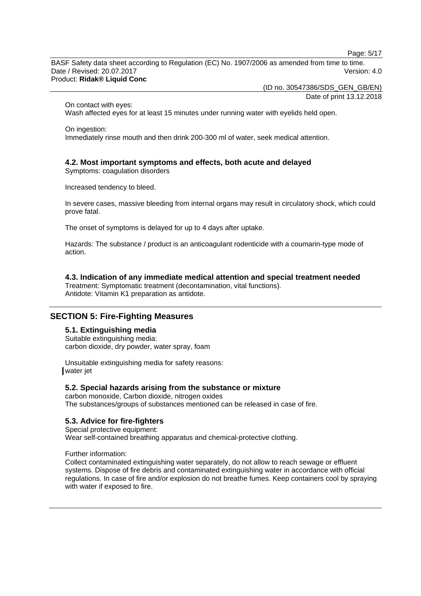Page: 5/17

BASF Safety data sheet according to Regulation (EC) No. 1907/2006 as amended from time to time. Date / Revised: 20.07.2017 Version: 4.0 Product: **Ridak® Liquid Conc**

(ID no. 30547386/SDS\_GEN\_GB/EN)

Date of print 13.12.2018

On contact with eyes:

Wash affected eyes for at least 15 minutes under running water with eyelids held open.

On ingestion: Immediately rinse mouth and then drink 200-300 ml of water, seek medical attention.

## **4.2. Most important symptoms and effects, both acute and delayed**

Symptoms: coagulation disorders

Increased tendency to bleed.

In severe cases, massive bleeding from internal organs may result in circulatory shock, which could prove fatal.

The onset of symptoms is delayed for up to 4 days after uptake.

Hazards: The substance / product is an anticoagulant rodenticide with a coumarin-type mode of action.

## **4.3. Indication of any immediate medical attention and special treatment needed**

Treatment: Symptomatic treatment (decontamination, vital functions). Antidote: Vitamin K1 preparation as antidote.

# **SECTION 5: Fire-Fighting Measures**

## **5.1. Extinguishing media**

Suitable extinguishing media: carbon dioxide, dry powder, water spray, foam

Unsuitable extinguishing media for safety reasons: water jet

## **5.2. Special hazards arising from the substance or mixture**

carbon monoxide, Carbon dioxide, nitrogen oxides The substances/groups of substances mentioned can be released in case of fire.

## **5.3. Advice for fire-fighters**

Special protective equipment: Wear self-contained breathing apparatus and chemical-protective clothing.

Further information:

Collect contaminated extinguishing water separately, do not allow to reach sewage or effluent systems. Dispose of fire debris and contaminated extinguishing water in accordance with official regulations. In case of fire and/or explosion do not breathe fumes. Keep containers cool by spraying with water if exposed to fire.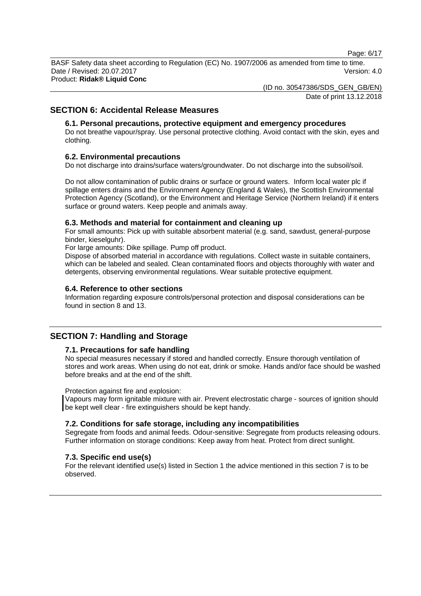Page: 6/17

BASF Safety data sheet according to Regulation (EC) No. 1907/2006 as amended from time to time. Date / Revised: 20.07.2017 Version: 4.0 Product: **Ridak® Liquid Conc**

(ID no. 30547386/SDS\_GEN\_GB/EN)

Date of print 13.12.2018

# **SECTION 6: Accidental Release Measures**

## **6.1. Personal precautions, protective equipment and emergency procedures**

Do not breathe vapour/spray. Use personal protective clothing. Avoid contact with the skin, eyes and clothing.

## **6.2. Environmental precautions**

Do not discharge into drains/surface waters/groundwater. Do not discharge into the subsoil/soil.

Do not allow contamination of public drains or surface or ground waters. Inform local water plc if spillage enters drains and the Environment Agency (England & Wales), the Scottish Environmental Protection Agency (Scotland), or the Environment and Heritage Service (Northern Ireland) if it enters surface or ground waters. Keep people and animals away.

#### **6.3. Methods and material for containment and cleaning up**

For small amounts: Pick up with suitable absorbent material (e.g. sand, sawdust, general-purpose binder, kieselguhr).

For large amounts: Dike spillage. Pump off product.

Dispose of absorbed material in accordance with regulations. Collect waste in suitable containers, which can be labeled and sealed. Clean contaminated floors and objects thoroughly with water and detergents, observing environmental regulations. Wear suitable protective equipment.

#### **6.4. Reference to other sections**

Information regarding exposure controls/personal protection and disposal considerations can be found in section 8 and 13.

# **SECTION 7: Handling and Storage**

## **7.1. Precautions for safe handling**

No special measures necessary if stored and handled correctly. Ensure thorough ventilation of stores and work areas. When using do not eat, drink or smoke. Hands and/or face should be washed before breaks and at the end of the shift.

Protection against fire and explosion:

Vapours may form ignitable mixture with air. Prevent electrostatic charge - sources of ignition should be kept well clear - fire extinguishers should be kept handy.

## **7.2. Conditions for safe storage, including any incompatibilities**

Segregate from foods and animal feeds. Odour-sensitive: Segregate from products releasing odours. Further information on storage conditions: Keep away from heat. Protect from direct sunlight.

## **7.3. Specific end use(s)**

For the relevant identified use(s) listed in Section 1 the advice mentioned in this section 7 is to be observed.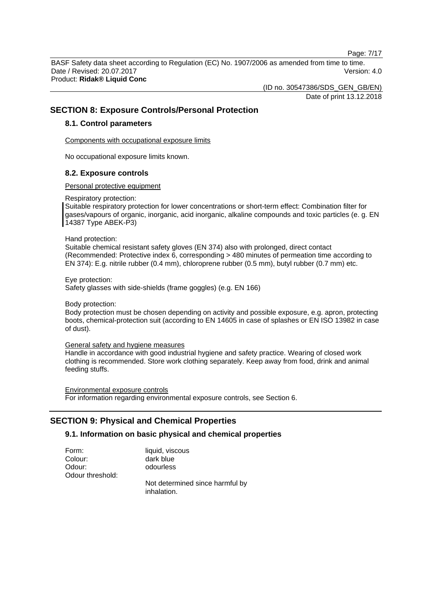Page: 7/17

BASF Safety data sheet according to Regulation (EC) No. 1907/2006 as amended from time to time. Date / Revised: 20.07.2017 Version: 4.0 Product: **Ridak® Liquid Conc**

(ID no. 30547386/SDS\_GEN\_GB/EN)

Date of print 13.12.2018

# **SECTION 8: Exposure Controls/Personal Protection**

#### **8.1. Control parameters**

Components with occupational exposure limits

No occupational exposure limits known.

#### **8.2. Exposure controls**

Personal protective equipment

Respiratory protection:

Suitable respiratory protection for lower concentrations or short-term effect: Combination filter for gases/vapours of organic, inorganic, acid inorganic, alkaline compounds and toxic particles (e. g. EN 14387 Type ABEK-P3)

#### Hand protection:

Suitable chemical resistant safety gloves (EN 374) also with prolonged, direct contact (Recommended: Protective index 6, corresponding > 480 minutes of permeation time according to EN 374): E.g. nitrile rubber (0.4 mm), chloroprene rubber (0.5 mm), butyl rubber (0.7 mm) etc.

Eye protection:

Safety glasses with side-shields (frame goggles) (e.g. EN 166)

#### Body protection:

Body protection must be chosen depending on activity and possible exposure, e.g. apron, protecting boots, chemical-protection suit (according to EN 14605 in case of splashes or EN ISO 13982 in case of dust).

#### General safety and hygiene measures

Handle in accordance with good industrial hygiene and safety practice. Wearing of closed work clothing is recommended. Store work clothing separately. Keep away from food, drink and animal feeding stuffs.

Environmental exposure controls For information regarding environmental exposure controls, see Section 6.

# **SECTION 9: Physical and Chemical Properties**

## **9.1. Information on basic physical and chemical properties**

| Form:            | liquid, viscous                                |
|------------------|------------------------------------------------|
| Colour:          | dark blue                                      |
| Odour:           | odourless                                      |
| Odour threshold: |                                                |
|                  | Not determined since harmful by<br>inhalation. |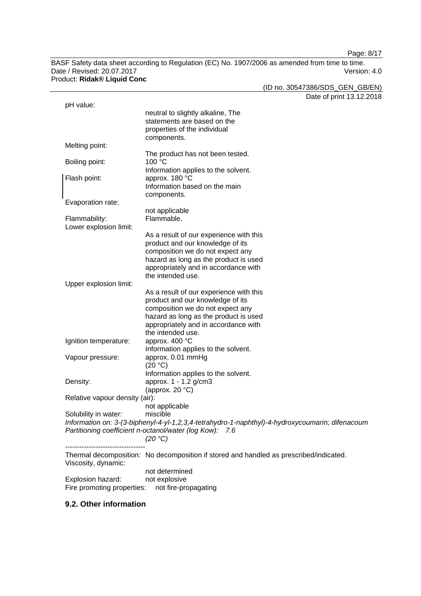Page: 8/17

BASF Safety data sheet according to Regulation (EC) No. 1907/2006 as amended from time to time. Date / Revised: 20.07.2017 Version: 4.0 Product: **Ridak® Liquid Conc**

(ID no. 30547386/SDS\_GEN\_GB/EN)

Date of print 13.12.2018 pH value: neutral to slightly alkaline, The statements are based on the properties of the individual components. Melting point: The product has not been tested. Boiling point: 100 °C Information applies to the solvent. Flash point: approx. 180 °C Information based on the main components. Evaporation rate: not applicable Flammability: Flammable. Lower explosion limit: As a result of our experience with this product and our knowledge of its composition we do not expect any hazard as long as the product is used appropriately and in accordance with the intended use. Upper explosion limit: As a result of our experience with this product and our knowledge of its composition we do not expect any hazard as long as the product is used appropriately and in accordance with the intended use. Ignition temperature: approx. 400 °C Information applies to the solvent. Vapour pressure: approx. 0.01 mmHg (20 °C) Information applies to the solvent. Density: approx. 1 - 1.2 g/cm3 (approx. 20 °C) Relative vapour density (air): not applicable Solubility in water: miscible *Information on: 3-(3-biphenyl-4-yl-1,2,3,4-tetrahydro-1-naphthyl)-4-hydroxycoumarin; difenacoum Partitioning coefficient n-octanol/water (log Kow): 7.6 (20 °C)* ---------------------------------- Thermal decomposition: No decomposition if stored and handled as prescribed/indicated. Viscosity, dynamic: not determined Explosion hazard: not explosive Fire promoting properties: not fire-propagating

## **9.2. Other information**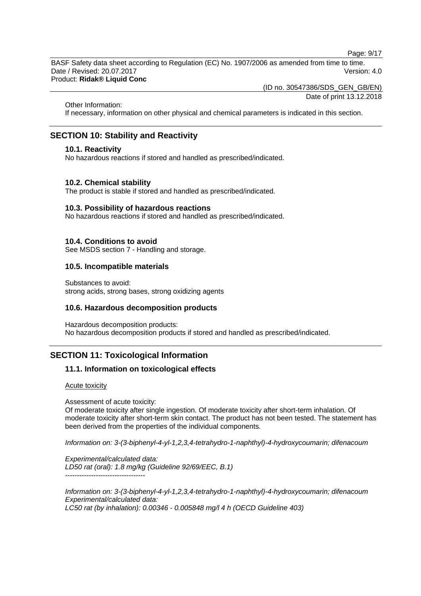Page: 9/17

BASF Safety data sheet according to Regulation (EC) No. 1907/2006 as amended from time to time. Date / Revised: 20.07.2017 Version: 4.0 Product: **Ridak® Liquid Conc**

(ID no. 30547386/SDS\_GEN\_GB/EN)

Date of print 13.12.2018

Other Information:

If necessary, information on other physical and chemical parameters is indicated in this section.

# **SECTION 10: Stability and Reactivity**

#### **10.1. Reactivity**

No hazardous reactions if stored and handled as prescribed/indicated.

## **10.2. Chemical stability**

The product is stable if stored and handled as prescribed/indicated.

#### **10.3. Possibility of hazardous reactions**

No hazardous reactions if stored and handled as prescribed/indicated.

#### **10.4. Conditions to avoid**

See MSDS section 7 - Handling and storage.

## **10.5. Incompatible materials**

Substances to avoid: strong acids, strong bases, strong oxidizing agents

## **10.6. Hazardous decomposition products**

Hazardous decomposition products: No hazardous decomposition products if stored and handled as prescribed/indicated.

# **SECTION 11: Toxicological Information**

## **11.1. Information on toxicological effects**

#### Acute toxicity

Assessment of acute toxicity:

Of moderate toxicity after single ingestion. Of moderate toxicity after short-term inhalation. Of moderate toxicity after short-term skin contact. The product has not been tested. The statement has been derived from the properties of the individual components.

*Information on: 3-(3-biphenyl-4-yl-1,2,3,4-tetrahydro-1-naphthyl)-4-hydroxycoumarin; difenacoum*

*Experimental/calculated data: LD50 rat (oral): 1.8 mg/kg (Guideline 92/69/EEC, B.1)* ----------------------------------

*Information on: 3-(3-biphenyl-4-yl-1,2,3,4-tetrahydro-1-naphthyl)-4-hydroxycoumarin; difenacoum Experimental/calculated data: LC50 rat (by inhalation): 0.00346 - 0.005848 mg/l 4 h (OECD Guideline 403)*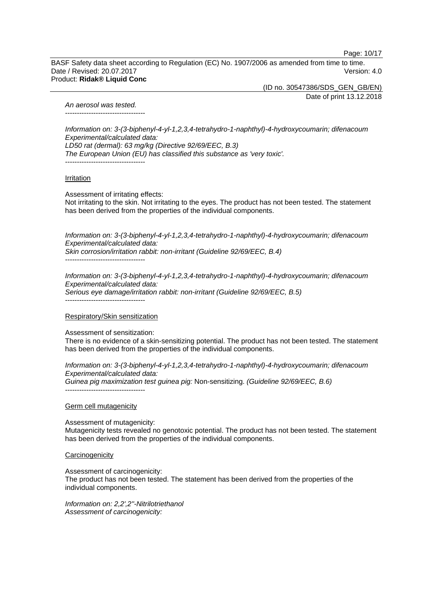Page: 10/17

BASF Safety data sheet according to Regulation (EC) No. 1907/2006 as amended from time to time. Date / Revised: 20.07.2017 Version: 4.0 Product: **Ridak® Liquid Conc**

(ID no. 30547386/SDS\_GEN\_GB/EN)

Date of print 13.12.2018

*An aerosol was tested.* ----------------------------------

*Information on: 3-(3-biphenyl-4-yl-1,2,3,4-tetrahydro-1-naphthyl)-4-hydroxycoumarin; difenacoum Experimental/calculated data: LD50 rat (dermal): 63 mg/kg (Directive 92/69/EEC, B.3) The European Union (EU) has classified this substance as 'very toxic'.* ----------------------------------

**Irritation** 

Assessment of irritating effects: Not irritating to the skin. Not irritating to the eyes. The product has not been tested. The statement has been derived from the properties of the individual components.

*Information on: 3-(3-biphenyl-4-yl-1,2,3,4-tetrahydro-1-naphthyl)-4-hydroxycoumarin; difenacoum Experimental/calculated data: Skin corrosion/irritation rabbit: non-irritant (Guideline 92/69/EEC, B.4)* ----------------------------------

*Information on: 3-(3-biphenyl-4-yl-1,2,3,4-tetrahydro-1-naphthyl)-4-hydroxycoumarin; difenacoum Experimental/calculated data: Serious eye damage/irritation rabbit: non-irritant (Guideline 92/69/EEC, B.5)* ----------------------------------

Respiratory/Skin sensitization

Assessment of sensitization:

There is no evidence of a skin-sensitizing potential. The product has not been tested. The statement has been derived from the properties of the individual components.

*Information on: 3-(3-biphenyl-4-yl-1,2,3,4-tetrahydro-1-naphthyl)-4-hydroxycoumarin; difenacoum Experimental/calculated data: Guinea pig maximization test guinea pig:* Non-sensitizing. *(Guideline 92/69/EEC, B.6)* ----------------------------------

Germ cell mutagenicity

Assessment of mutagenicity: Mutagenicity tests revealed no genotoxic potential. The product has not been tested. The statement has been derived from the properties of the individual components.

**Carcinogenicity** 

Assessment of carcinogenicity:

The product has not been tested. The statement has been derived from the properties of the individual components.

*Information on: 2,2',2''-Nitrilotriethanol Assessment of carcinogenicity:*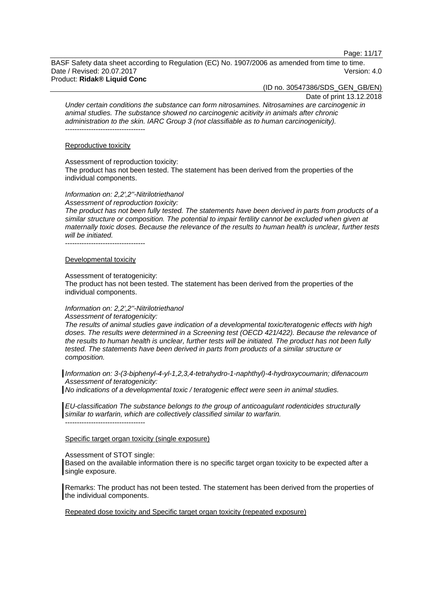Page: 11/17

BASF Safety data sheet according to Regulation (EC) No. 1907/2006 as amended from time to time. Date / Revised: 20.07.2017 Version: 4.0 Product: **Ridak® Liquid Conc**

(ID no. 30547386/SDS\_GEN\_GB/EN)

Date of print 13.12.2018

*Under certain conditions the substance can form nitrosamines. Nitrosamines are carcinogenic in animal studies. The substance showed no carcinogenic acitivity in animals after chronic administration to the skin. IARC Group 3 (not classifiable as to human carcinogenicity).* ----------------------------------

#### Reproductive toxicity

Assessment of reproduction toxicity:

The product has not been tested. The statement has been derived from the properties of the individual components.

*Information on: 2,2',2''-Nitrilotriethanol*

*Assessment of reproduction toxicity:*

*The product has not been fully tested. The statements have been derived in parts from products of a similar structure or composition. The potential to impair fertility cannot be excluded when given at maternally toxic doses. Because the relevance of the results to human health is unclear, further tests will be initiated.*

----------------------------------

#### Developmental toxicity

#### Assessment of teratogenicity:

The product has not been tested. The statement has been derived from the properties of the individual components.

## *Information on: 2,2',2''-Nitrilotriethanol*

*Assessment of teratogenicity:*

*The results of animal studies gave indication of a developmental toxic/teratogenic effects with high doses. The results were determined in a Screening test (OECD 421/422). Because the relevance of the results to human health is unclear, further tests will be initiated. The product has not been fully tested. The statements have been derived in parts from products of a similar structure or composition.*

*Information on: 3-(3-biphenyl-4-yl-1,2,3,4-tetrahydro-1-naphthyl)-4-hydroxycoumarin; difenacoum Assessment of teratogenicity:*

*No indications of a developmental toxic / teratogenic effect were seen in animal studies.*

*EU-classification The substance belongs to the group of anticoagulant rodenticides structurally similar to warfarin, which are collectively classified similar to warfarin.* ----------------------------------

#### Specific target organ toxicity (single exposure)

Assessment of STOT single:

Based on the available information there is no specific target organ toxicity to be expected after a single exposure.

Remarks: The product has not been tested. The statement has been derived from the properties of the individual components.

Repeated dose toxicity and Specific target organ toxicity (repeated exposure)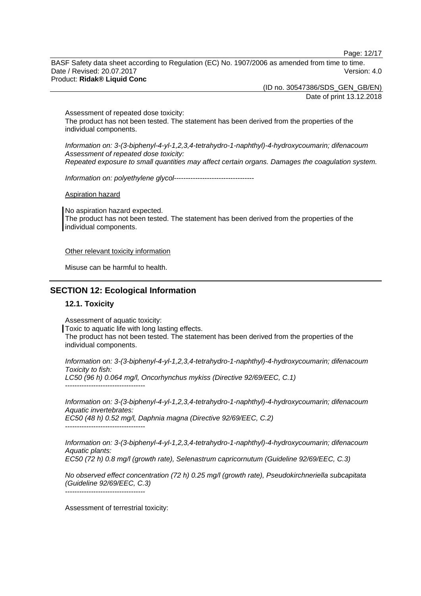Page: 12/17

BASF Safety data sheet according to Regulation (EC) No. 1907/2006 as amended from time to time. Date / Revised: 20.07.2017 Version: 4.0 Product: **Ridak® Liquid Conc**

> (ID no. 30547386/SDS\_GEN\_GB/EN) Date of print 13.12.2018

Assessment of repeated dose toxicity: The product has not been tested. The statement has been derived from the properties of the individual components.

*Information on: 3-(3-biphenyl-4-yl-1,2,3,4-tetrahydro-1-naphthyl)-4-hydroxycoumarin; difenacoum Assessment of repeated dose toxicity: Repeated exposure to small quantities may affect certain organs. Damages the coagulation system.*

*Information on: polyethylene glycol*----------------------------------

Aspiration hazard

No aspiration hazard expected. The product has not been tested. The statement has been derived from the properties of the individual components.

Other relevant toxicity information

Misuse can be harmful to health.

## **SECTION 12: Ecological Information**

#### **12.1. Toxicity**

Assessment of aquatic toxicity:

Toxic to aquatic life with long lasting effects. The product has not been tested. The statement has been derived from the properties of the individual components.

*Information on: 3-(3-biphenyl-4-yl-1,2,3,4-tetrahydro-1-naphthyl)-4-hydroxycoumarin; difenacoum Toxicity to fish: LC50 (96 h) 0.064 mg/l, Oncorhynchus mykiss (Directive 92/69/EEC, C.1)* ----------------------------------

*Information on: 3-(3-biphenyl-4-yl-1,2,3,4-tetrahydro-1-naphthyl)-4-hydroxycoumarin; difenacoum Aquatic invertebrates: EC50 (48 h) 0.52 mg/l, Daphnia magna (Directive 92/69/EEC, C.2)* ----------------------------------

*Information on: 3-(3-biphenyl-4-yl-1,2,3,4-tetrahydro-1-naphthyl)-4-hydroxycoumarin; difenacoum Aquatic plants: EC50 (72 h) 0.8 mg/l (growth rate), Selenastrum capricornutum (Guideline 92/69/EEC, C.3)*

*No observed effect concentration (72 h) 0.25 mg/l (growth rate), Pseudokirchneriella subcapitata (Guideline 92/69/EEC, C.3)*

----------------------------------

Assessment of terrestrial toxicity: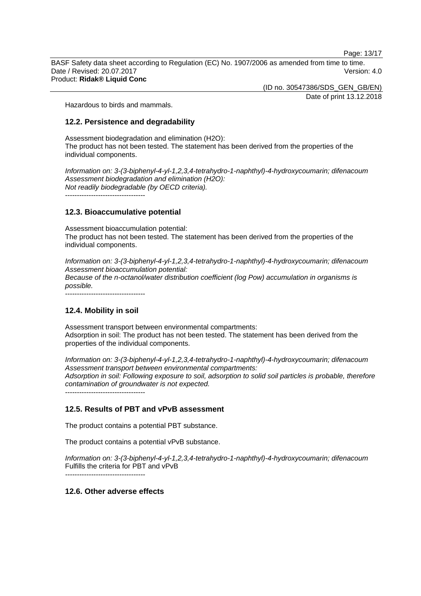Page: 13/17

BASF Safety data sheet according to Regulation (EC) No. 1907/2006 as amended from time to time. Date / Revised: 20.07.2017 Version: 4.0 Product: **Ridak® Liquid Conc**

(ID no. 30547386/SDS\_GEN\_GB/EN)

Date of print 13.12.2018

Hazardous to birds and mammals.

## **12.2. Persistence and degradability**

Assessment biodegradation and elimination (H2O): The product has not been tested. The statement has been derived from the properties of the individual components.

*Information on: 3-(3-biphenyl-4-yl-1,2,3,4-tetrahydro-1-naphthyl)-4-hydroxycoumarin; difenacoum Assessment biodegradation and elimination (H2O): Not readily biodegradable (by OECD criteria).*

----------------------------------

## **12.3. Bioaccumulative potential**

Assessment bioaccumulation potential: The product has not been tested. The statement has been derived from the properties of the individual components.

*Information on: 3-(3-biphenyl-4-yl-1,2,3,4-tetrahydro-1-naphthyl)-4-hydroxycoumarin; difenacoum Assessment bioaccumulation potential: Because of the n-octanol/water distribution coefficient (log Pow) accumulation in organisms is possible.*

 $-$ 

## **12.4. Mobility in soil**

Assessment transport between environmental compartments: Adsorption in soil: The product has not been tested. The statement has been derived from the properties of the individual components.

*Information on: 3-(3-biphenyl-4-yl-1,2,3,4-tetrahydro-1-naphthyl)-4-hydroxycoumarin; difenacoum Assessment transport between environmental compartments: Adsorption in soil: Following exposure to soil, adsorption to solid soil particles is probable, therefore contamination of groundwater is not expected.*

----------------------------------

# **12.5. Results of PBT and vPvB assessment**

The product contains a potential PBT substance.

The product contains a potential vPvB substance.

*Information on: 3-(3-biphenyl-4-yl-1,2,3,4-tetrahydro-1-naphthyl)-4-hydroxycoumarin; difenacoum* Fulfills the criteria for PBT and vPvB

*----------------------------------*

# **12.6. Other adverse effects**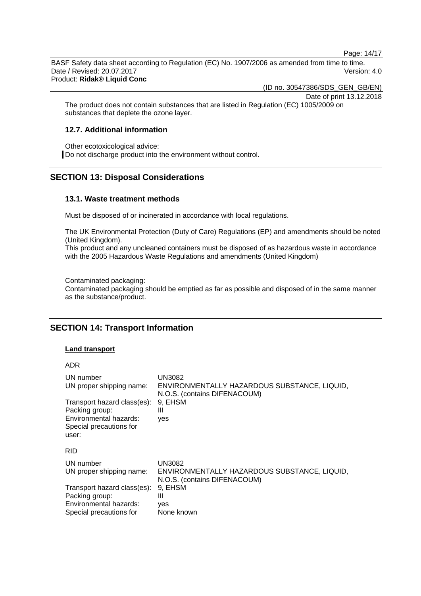Page: 14/17

BASF Safety data sheet according to Regulation (EC) No. 1907/2006 as amended from time to time. Date / Revised: 20.07.2017 Version: 4.0 Product: **Ridak® Liquid Conc**

(ID no. 30547386/SDS\_GEN\_GB/EN)

Date of print 13.12.2018

The product does not contain substances that are listed in Regulation (EC) 1005/2009 on substances that deplete the ozone layer.

## **12.7. Additional information**

Other ecotoxicological advice: Do not discharge product into the environment without control.

# **SECTION 13: Disposal Considerations**

#### **13.1. Waste treatment methods**

Must be disposed of or incinerated in accordance with local regulations.

The UK Environmental Protection (Duty of Care) Regulations (EP) and amendments should be noted (United Kingdom).

This product and any uncleaned containers must be disposed of as hazardous waste in accordance with the 2005 Hazardous Waste Regulations and amendments (United Kingdom)

Contaminated packaging: Contaminated packaging should be emptied as far as possible and disposed of in the same manner as the substance/product.

# **SECTION 14: Transport Information**

#### **Land transport**

|  | ۰, |  |
|--|----|--|
|--|----|--|

| UN number<br>UN proper shipping name:<br>Transport hazard class(es):<br>Packing group:<br>Environmental hazards:<br>Special precautions for<br>user: | UN3082<br>ENVIRONMENTALLY HAZARDOUS SUBSTANCE, LIQUID,<br>N.O.S. (contains DIFENACOUM)<br>9. EHSM<br>Ш<br>ves |
|------------------------------------------------------------------------------------------------------------------------------------------------------|---------------------------------------------------------------------------------------------------------------|
| <b>RID</b>                                                                                                                                           |                                                                                                               |
| UN number<br>UN proper shipping name:                                                                                                                | <b>UN3082</b><br>ENVIRONMENTALLY HAZARDOUS SUBSTANCE, LIQUID,<br>N.O.S. (contains DIFENACOUM)                 |
| Transport hazard class(es):<br>Packing group:<br>Environmental hazards:<br>Special precautions for                                                   | 9, EHSM<br>Ш<br>ves<br>None known                                                                             |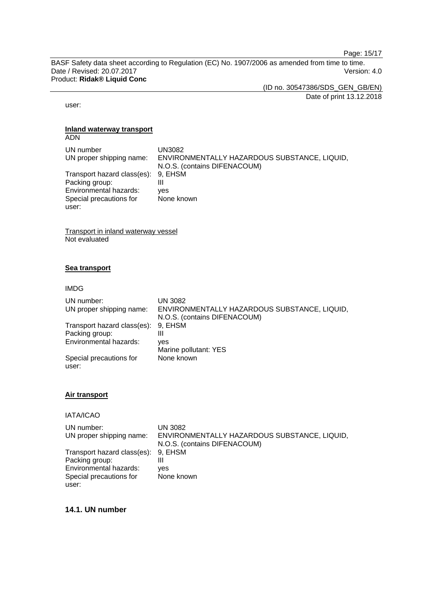Page: 15/17

BASF Safety data sheet according to Regulation (EC) No. 1907/2006 as amended from time to time. Date / Revised: 20.07.2017 **Version: 4.0** Product: **Ridak® Liquid Conc**

(ID no. 30547386/SDS\_GEN\_GB/EN) Date of print 13.12.2018

user:

#### **Inland waterway transport**

| <b>ADN</b>                  |                                                                              |
|-----------------------------|------------------------------------------------------------------------------|
| UN number                   | UN3082                                                                       |
| UN proper shipping name:    | ENVIRONMENTALLY HAZARDOUS SUBSTANCE, LIQUID,<br>N.O.S. (contains DIFENACOUM) |
| Transport hazard class(es): | 9, EHSM                                                                      |
| Packing group:              | Ш                                                                            |
| Environmental hazards:      | ves                                                                          |
| Special precautions for     | None known                                                                   |
| user:                       |                                                                              |

Transport in inland waterway vessel Not evaluated

## **Sea transport**

IMDG

| UN number:<br>UN proper shipping name: | <b>UN 3082</b><br>ENVIRONMENTALLY HAZARDOUS SUBSTANCE, LIQUID,<br>N.O.S. (contains DIFENACOUM) |
|----------------------------------------|------------------------------------------------------------------------------------------------|
| Transport hazard class(es):            | 9. EHSM                                                                                        |
| Packing group:                         | Ш                                                                                              |
| Environmental hazards:                 | ves                                                                                            |
|                                        | Marine pollutant: YES                                                                          |
| Special precautions for                | None known                                                                                     |
| user:                                  |                                                                                                |

#### **Air transport**

IATA/ICAO

| UN number:                          | UN 3082                                      |
|-------------------------------------|----------------------------------------------|
| UN proper shipping name:            | ENVIRONMENTALLY HAZARDOUS SUBSTANCE, LIQUID, |
|                                     | N.O.S. (contains DIFENACOUM)                 |
| Transport hazard class(es): 9, EHSM |                                              |
| Packing group:                      | Ш                                            |
| Environmental hazards:              | ves                                          |
| Special precautions for             | None known                                   |
| user:                               |                                              |

## **14.1. UN number**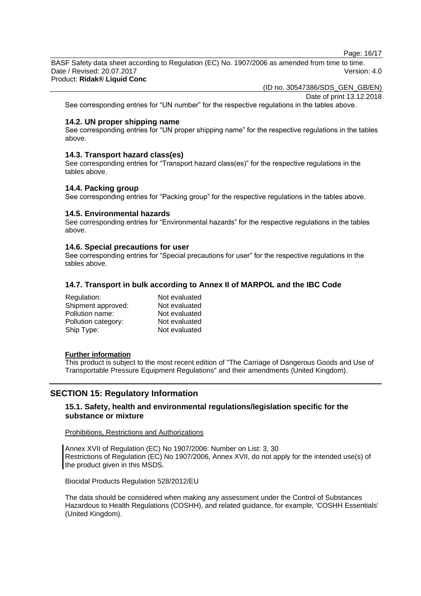Page: 16/17

BASF Safety data sheet according to Regulation (EC) No. 1907/2006 as amended from time to time. Date / Revised: 20.07.2017 Version: 4.0 Product: **Ridak® Liquid Conc**

(ID no. 30547386/SDS\_GEN\_GB/EN)

Date of print 13.12.2018

See corresponding entries for "UN number" for the respective regulations in the tables above.

## **14.2. UN proper shipping name**

See corresponding entries for "UN proper shipping name" for the respective regulations in the tables above.

#### **14.3. Transport hazard class(es)**

See corresponding entries for "Transport hazard class(es)" for the respective regulations in the tables above.

#### **14.4. Packing group**

See corresponding entries for "Packing group" for the respective regulations in the tables above.

## **14.5. Environmental hazards**

See corresponding entries for "Environmental hazards" for the respective regulations in the tables above.

#### **14.6. Special precautions for user**

See corresponding entries for "Special precautions for user" for the respective regulations in the tables above.

## **14.7. Transport in bulk according to Annex II of MARPOL and the IBC Code**

| Regulation:         | Not evaluated |
|---------------------|---------------|
| Shipment approved:  | Not evaluated |
| Pollution name:     | Not evaluated |
| Pollution category: | Not evaluated |
| Ship Type:          | Not evaluated |

#### **Further information**

This product is subject to the most recent edition of "The Carriage of Dangerous Goods and Use of Transportable Pressure Equipment Regulations" and their amendments (United Kingdom).

# **SECTION 15: Regulatory Information**

## **15.1. Safety, health and environmental regulations/legislation specific for the substance or mixture**

#### Prohibitions, Restrictions and Authorizations

Annex XVII of Regulation (EC) No 1907/2006: Number on List: 3, 30 Restrictions of Regulation (EC) No 1907/2006, Annex XVII, do not apply for the intended use(s) of the product given in this MSDS.

Biocidal Products Regulation 528/2012/EU

The data should be considered when making any assessment under the Control of Substances Hazardous to Health Regulations (COSHH), and related guidance, for example, 'COSHH Essentials' (United Kingdom).